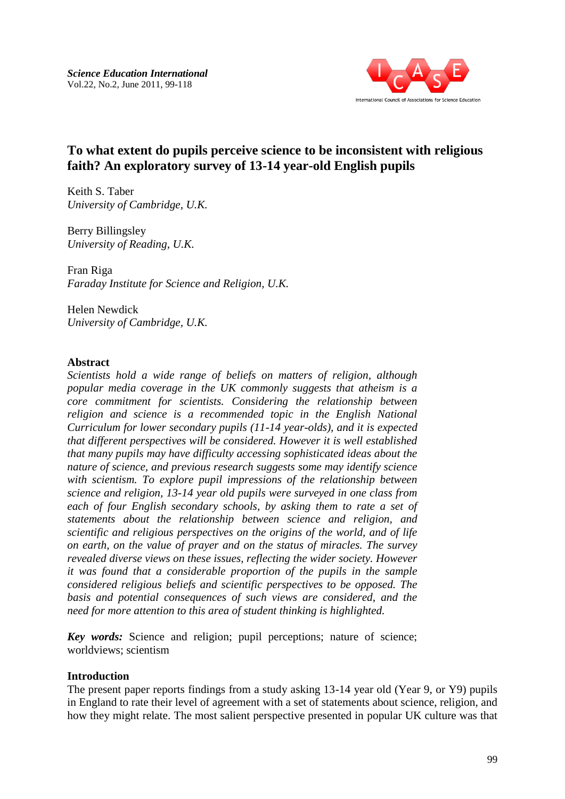

Keith S. Taber *University of Cambridge, U.K.*

Berry Billingsley *University of Reading, U.K.*

Fran Riga *Faraday Institute for Science and Religion, U.K.*

Helen Newdick *University of Cambridge, U.K.*

### **Abstract**

*Scientists hold a wide range of beliefs on matters of religion, although popular media coverage in the UK commonly suggests that atheism is a core commitment for scientists. Considering the relationship between religion and science is a recommended topic in the English National Curriculum for lower secondary pupils (11-14 year-olds), and it is expected that different perspectives will be considered. However it is well established that many pupils may have difficulty accessing sophisticated ideas about the nature of science, and previous research suggests some may identify science with scientism. To explore pupil impressions of the relationship between science and religion, 13-14 year old pupils were surveyed in one class from each of four English secondary schools, by asking them to rate a set of statements about the relationship between science and religion, and scientific and religious perspectives on the origins of the world, and of life on earth, on the value of prayer and on the status of miracles. The survey revealed diverse views on these issues, reflecting the wider society. However it was found that a considerable proportion of the pupils in the sample considered religious beliefs and scientific perspectives to be opposed. The basis and potential consequences of such views are considered, and the need for more attention to this area of student thinking is highlighted.*

*Key words:* Science and religion; pupil perceptions; nature of science; worldviews; scientism

#### **Introduction**

The present paper reports findings from a study asking 13-14 year old (Year 9, or Y9) pupils in England to rate their level of agreement with a set of statements about science, religion, and how they might relate. The most salient perspective presented in popular UK culture was that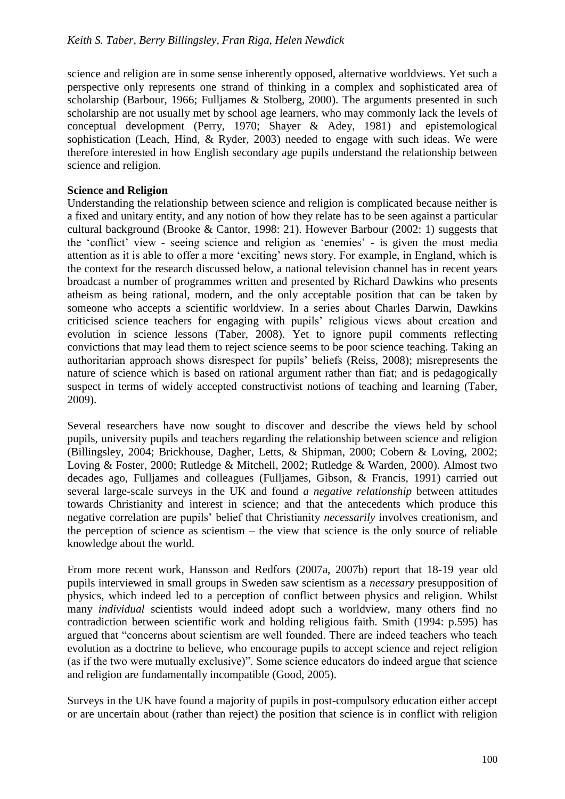science and religion are in some sense inherently opposed, alternative worldviews. Yet such a perspective only represents one strand of thinking in a complex and sophisticated area of scholarship [\(Barbour, 1966;](#page-13-0) [Fulljames & Stolberg, 2000\)](#page-14-0). The arguments presented in such scholarship are not usually met by school age learners, who may commonly lack the levels of conceptual development [\(Perry, 1970;](#page-15-0) [Shayer & Adey, 1981\)](#page-15-1) and epistemological sophistication [\(Leach, Hind, & Ryder, 2003\)](#page-15-2) needed to engage with such ideas. We were therefore interested in how English secondary age pupils understand the relationship between science and religion.

### **Science and Religion**

Understanding the relationship between science and religion is complicated because neither is a fixed and unitary entity, and any notion of how they relate has to be seen against a particular cultural background [\(Brooke & Cantor, 1998: 21\)](#page-14-1). However Barbour [\(2002: 1\)](#page-13-1) suggests that the "conflict" view - seeing science and religion as "enemies" - is given the most media attention as it is able to offer a more "exciting" news story. For example, in England, which is the context for the research discussed below, a national television channel has in recent years broadcast a number of programmes written and presented by Richard Dawkins who presents atheism as being rational, modern, and the only acceptable position that can be taken by someone who accepts a scientific worldview. In a series about Charles Darwin, Dawkins criticised science teachers for engaging with pupils" religious views about creation and evolution in science lessons [\(Taber, 2008\)](#page-16-0). Yet to ignore pupil comments reflecting convictions that may lead them to reject science seems to be poor science teaching. Taking an authoritarian approach shows disrespect for pupils" beliefs [\(Reiss, 2008\)](#page-15-3); misrepresents the nature of science which is based on rational argument rather than fiat; and is pedagogically suspect in terms of widely accepted constructivist notions of teaching and learning [\(Taber,](#page-16-1)  [2009\)](#page-16-1).

Several researchers have now sought to discover and describe the views held by school pupils, university pupils and teachers regarding the relationship between science and religion [\(Billingsley, 2004;](#page-14-2) [Brickhouse, Dagher, Letts, & Shipman, 2000;](#page-14-3) [Cobern & Loving, 2002;](#page-14-4) [Loving & Foster, 2000;](#page-15-4) [Rutledge & Mitchell, 2002;](#page-15-5) [Rutledge & Warden, 2000\)](#page-15-6). Almost two decades ago, Fulljames and colleagues [\(Fulljames, Gibson, & Francis, 1991\)](#page-14-5) carried out several large-scale surveys in the UK and found *a negative relationship* between attitudes towards Christianity and interest in science; and that the antecedents which produce this negative correlation are pupils" belief that Christianity *necessarily* involves creationism, and the perception of science as scientism – the view that science is the only source of reliable knowledge about the world.

From more recent work, Hansson and Redfors [\(2007a,](#page-14-6) [2007b\)](#page-15-7) report that 18-19 year old pupils interviewed in small groups in Sweden saw scientism as a *necessary* presupposition of physics, which indeed led to a perception of conflict between physics and religion. Whilst many *individual* scientists would indeed adopt such a worldview, many others find no contradiction between scientific work and holding religious faith. Smith [\(1994: p.595\)](#page-15-8) has argued that "concerns about scientism are well founded. There are indeed teachers who teach evolution as a doctrine to believe, who encourage pupils to accept science and reject religion (as if the two were mutually exclusive)". Some science educators do indeed argue that science and religion are fundamentally incompatible [\(Good, 2005\)](#page-14-7).

Surveys in the UK have found a majority of pupils in post-compulsory education either accept or are uncertain about (rather than reject) the position that science is in conflict with religion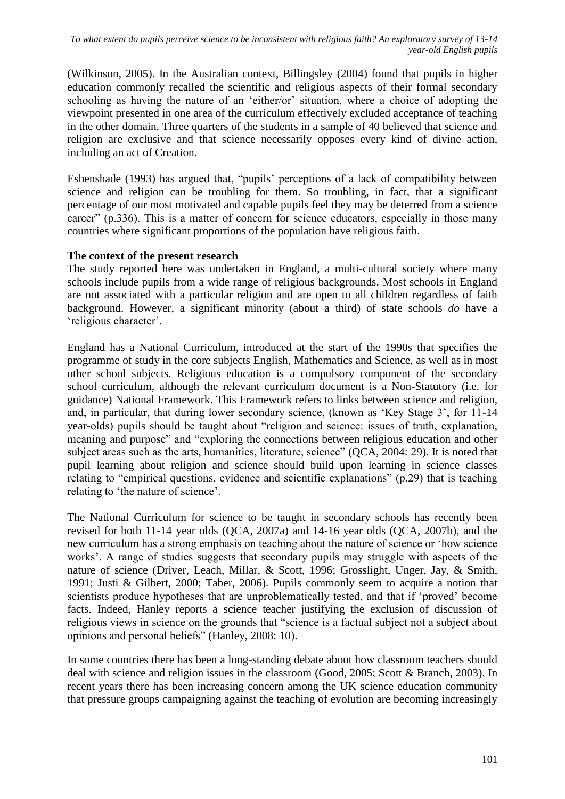[\(Wilkinson, 2005\)](#page-16-2). In the Australian context, Billingsley [\(2004\)](#page-14-2) found that pupils in higher education commonly recalled the scientific and religious aspects of their formal secondary schooling as having the nature of an 'either/or' situation, where a choice of adopting the viewpoint presented in one area of the curriculum effectively excluded acceptance of teaching in the other domain. Three quarters of the students in a sample of 40 believed that science and religion are exclusive and that science necessarily opposes every kind of divine action, including an act of Creation.

Esbenshade [\(1993\)](#page-14-8) has argued that, "pupils" perceptions of a lack of compatibility between science and religion can be troubling for them. So troubling, in fact, that a significant percentage of our most motivated and capable pupils feel they may be deterred from a science career" (p.336). This is a matter of concern for science educators, especially in those many countries where significant proportions of the population have religious faith.

### **The context of the present research**

The study reported here was undertaken in England, a multi-cultural society where many schools include pupils from a wide range of religious backgrounds. Most schools in England are not associated with a particular religion and are open to all children regardless of faith background. However, a significant minority (about a third) of state schools *do* have a 'religious character'.

England has a National Curriculum, introduced at the start of the 1990s that specifies the programme of study in the core subjects English, Mathematics and Science, as well as in most other school subjects. Religious education is a compulsory component of the secondary school curriculum, although the relevant curriculum document is a Non-Statutory (i.e. for guidance) National Framework. This Framework refers to links between science and religion, and, in particular, that during lower secondary science, (known as "Key Stage 3", for 11-14 year-olds) pupils should be taught about "religion and science: issues of truth, explanation, meaning and purpose" and "exploring the connections between religious education and other subject areas such as the arts, humanities, literature, science" [\(QCA, 2004: 29\)](#page-15-9). It is noted that pupil learning about religion and science should build upon learning in science classes relating to "empirical questions, evidence and scientific explanations" (p.29) that is teaching relating to 'the nature of science'.

The National Curriculum for science to be taught in secondary schools has recently been revised for both 11-14 year olds [\(QCA, 2007a\)](#page-15-10) and 14-16 year olds [\(QCA, 2007b\)](#page-15-11), and the new curriculum has a strong emphasis on teaching about the nature of science or "how science works'. A range of studies suggests that secondary pupils may struggle with aspects of the nature of science [\(Driver, Leach, Millar, & Scott, 1996;](#page-14-9) [Grosslight, Unger, Jay, & Smith,](#page-14-10)  [1991;](#page-14-10) [Justi & Gilbert, 2000;](#page-15-12) [Taber, 2006\)](#page-16-3). Pupils commonly seem to acquire a notion that scientists produce hypotheses that are unproblematically tested, and that if "proved" become facts. Indeed, Hanley reports a science teacher justifying the exclusion of discussion of religious views in science on the grounds that "science is a factual subject not a subject about opinions and personal beliefs" [\(Hanley, 2008: 10\)](#page-14-11).

In some countries there has been a long-standing debate about how classroom teachers should deal with science and religion issues in the classroom [\(Good, 2005;](#page-14-7) [Scott & Branch, 2003\)](#page-15-13). In recent years there has been increasing concern among the UK science education community that pressure groups campaigning against the teaching of evolution are becoming increasingly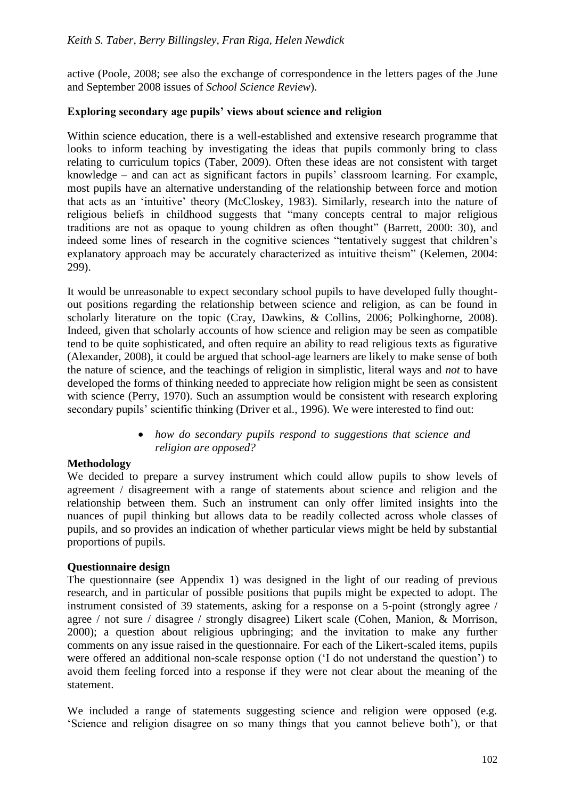active [\(Poole, 2008; see also the exchange of correspondence in the letters pages of the June](#page-15-14)  [and September 2008 issues of](#page-15-14) *School Science Review*).

### **Exploring secondary age pupils' views about science and religion**

Within science education, there is a well-established and extensive research programme that looks to inform teaching by investigating the ideas that pupils commonly bring to class relating to curriculum topics [\(Taber, 2009\)](#page-16-1). Often these ideas are not consistent with target knowledge – and can act as significant factors in pupils" classroom learning. For example, most pupils have an alternative understanding of the relationship between force and motion that acts as an "intuitive" theory [\(McCloskey, 1983\)](#page-15-15). Similarly, research into the nature of religious beliefs in childhood suggests that "many concepts central to major religious traditions are not as opaque to young children as often thought" [\(Barrett, 2000: 30\)](#page-13-2), and indeed some lines of research in the cognitive sciences "tentatively suggest that children"s explanatory approach may be accurately characterized as intuitive theism" [\(Kelemen, 2004:](#page-15-16)  [299\)](#page-15-16).

It would be unreasonable to expect secondary school pupils to have developed fully thoughtout positions regarding the relationship between science and religion, as can be found in scholarly literature on the topic [\(Cray, Dawkins, & Collins, 2006;](#page-14-12) [Polkinghorne, 2008\)](#page-15-17). Indeed, given that scholarly accounts of how science and religion may be seen as compatible tend to be quite sophisticated, and often require an ability to read religious texts as figurative [\(Alexander, 2008\)](#page-13-3), it could be argued that school-age learners are likely to make sense of both the nature of science, and the teachings of religion in simplistic, literal ways and *not* to have developed the forms of thinking needed to appreciate how religion might be seen as consistent with science [\(Perry, 1970\)](#page-15-0). Such an assumption would be consistent with research exploring secondary pupils' scientific thinking [\(Driver et al., 1996\)](#page-14-9). We were interested to find out:

> *how do secondary pupils respond to suggestions that science and religion are opposed?*

### **Methodology**

We decided to prepare a survey instrument which could allow pupils to show levels of agreement / disagreement with a range of statements about science and religion and the relationship between them. Such an instrument can only offer limited insights into the nuances of pupil thinking but allows data to be readily collected across whole classes of pupils, and so provides an indication of whether particular views might be held by substantial proportions of pupils.

#### **Questionnaire design**

The questionnaire (see Appendix 1) was designed in the light of our reading of previous research, and in particular of possible positions that pupils might be expected to adopt. The instrument consisted of 39 statements, asking for a response on a 5-point (strongly agree / agree / not sure / disagree / strongly disagree) Likert scale [\(Cohen, Manion, & Morrison,](#page-14-13)  [2000\)](#page-14-13); a question about religious upbringing; and the invitation to make any further comments on any issue raised in the questionnaire. For each of the Likert-scaled items, pupils were offered an additional non-scale response option ("I do not understand the question") to avoid them feeling forced into a response if they were not clear about the meaning of the statement.

We included a range of statements suggesting science and religion were opposed (e.g. "Science and religion disagree on so many things that you cannot believe both"), or that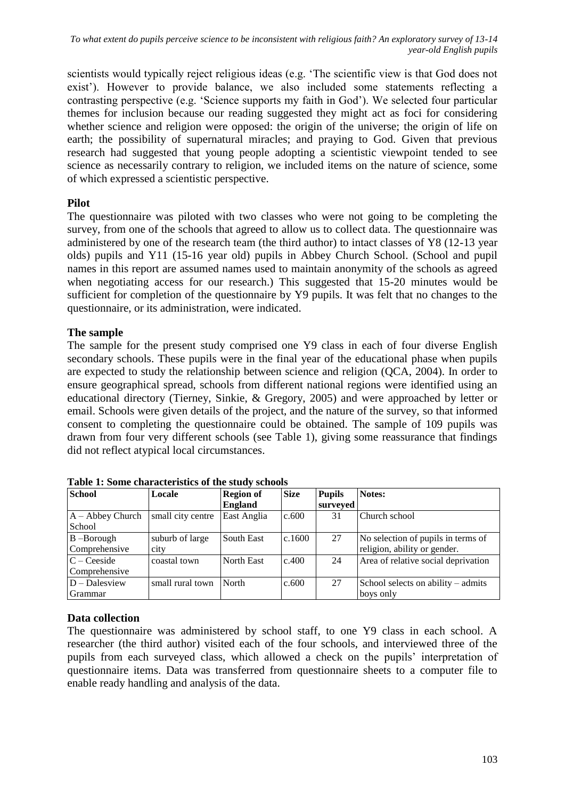scientists would typically reject religious ideas (e.g. "The scientific view is that God does not exist"). However to provide balance, we also included some statements reflecting a contrasting perspective (e.g. "Science supports my faith in God"). We selected four particular themes for inclusion because our reading suggested they might act as foci for considering whether science and religion were opposed: the origin of the universe; the origin of life on earth; the possibility of supernatural miracles; and praying to God. Given that previous research had suggested that young people adopting a scientistic viewpoint tended to see science as necessarily contrary to religion, we included items on the nature of science, some of which expressed a scientistic perspective.

# **Pilot**

The questionnaire was piloted with two classes who were not going to be completing the survey, from one of the schools that agreed to allow us to collect data. The questionnaire was administered by one of the research team (the third author) to intact classes of Y8 (12-13 year olds) pupils and Y11 (15-16 year old) pupils in Abbey Church School. (School and pupil names in this report are assumed names used to maintain anonymity of the schools as agreed when negotiating access for our research.) This suggested that 15-20 minutes would be sufficient for completion of the questionnaire by Y9 pupils. It was felt that no changes to the questionnaire, or its administration, were indicated.

# **The sample**

The sample for the present study comprised one Y9 class in each of four diverse English secondary schools. These pupils were in the final year of the educational phase when pupils are expected to study the relationship between science and religion [\(QCA, 2004\)](#page-15-9). In order to ensure geographical spread, schools from different national regions were identified using an educational directory [\(Tierney, Sinkie, & Gregory, 2005\)](#page-16-4) and were approached by letter or email. Schools were given details of the project, and the nature of the survey, so that informed consent to completing the questionnaire could be obtained. The sample of 109 pupils was drawn from four very different schools (see Table 1), giving some reassurance that findings did not reflect atypical local circumstances.

| <b>School</b>      | Locale            | <b>Region of</b> | <b>Size</b> | <b>Pupils</b> | Notes:                              |
|--------------------|-------------------|------------------|-------------|---------------|-------------------------------------|
|                    |                   | <b>England</b>   |             | surveyed      |                                     |
| $A - Abbey Church$ | small city centre | East Anglia      | c.600       | 31            | Church school                       |
| School             |                   |                  |             |               |                                     |
| $B$ –Borough       | suburb of large   | South East       | c.1600      | 27            | No selection of pupils in terms of  |
| Comprehensive      | city              |                  |             |               | religion, ability or gender.        |
| $C - C$ eeside     | coastal town      | North East       | c.400       | 24            | Area of relative social deprivation |
| Comprehensive      |                   |                  |             |               |                                     |
| $D - D$ alesview   | small rural town  | North            | c.600       | 27            | School selects on ability – admits  |
| Grammar            |                   |                  |             |               | boys only                           |

**Table 1: Some characteristics of the study schools**

# **Data collection**

The questionnaire was administered by school staff, to one Y9 class in each school. A researcher (the third author) visited each of the four schools, and interviewed three of the pupils from each surveyed class, which allowed a check on the pupils' interpretation of questionnaire items. Data was transferred from questionnaire sheets to a computer file to enable ready handling and analysis of the data.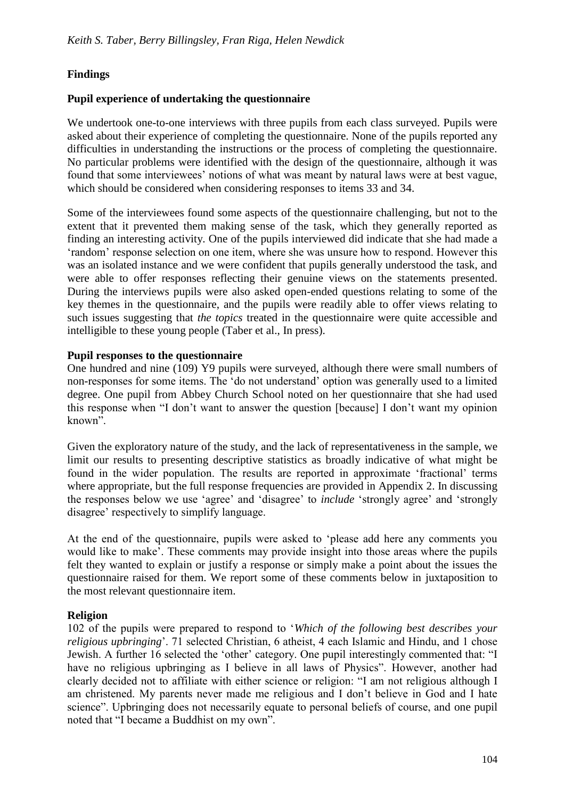# **Findings**

### **Pupil experience of undertaking the questionnaire**

We undertook one-to-one interviews with three pupils from each class surveyed. Pupils were asked about their experience of completing the questionnaire. None of the pupils reported any difficulties in understanding the instructions or the process of completing the questionnaire. No particular problems were identified with the design of the questionnaire, although it was found that some interviewees" notions of what was meant by natural laws were at best vague, which should be considered when considering responses to items 33 and 34.

Some of the interviewees found some aspects of the questionnaire challenging, but not to the extent that it prevented them making sense of the task, which they generally reported as finding an interesting activity. One of the pupils interviewed did indicate that she had made a 'random' response selection on one item, where she was unsure how to respond. However this was an isolated instance and we were confident that pupils generally understood the task, and were able to offer responses reflecting their genuine views on the statements presented. During the interviews pupils were also asked open-ended questions relating to some of the key themes in the questionnaire, and the pupils were readily able to offer views relating to such issues suggesting that *the topics* treated in the questionnaire were quite accessible and intelligible to these young people [\(Taber et al., In press\)](#page-16-5).

### **Pupil responses to the questionnaire**

One hundred and nine (109) Y9 pupils were surveyed, although there were small numbers of non-responses for some items. The "do not understand" option was generally used to a limited degree. One pupil from Abbey Church School noted on her questionnaire that she had used this response when "I don"t want to answer the question [because] I don"t want my opinion known".

Given the exploratory nature of the study, and the lack of representativeness in the sample, we limit our results to presenting descriptive statistics as broadly indicative of what might be found in the wider population. The results are reported in approximate "fractional" terms where appropriate, but the full response frequencies are provided in Appendix 2. In discussing the responses below we use "agree" and "disagree" to *include* "strongly agree" and "strongly disagree" respectively to simplify language.

At the end of the questionnaire, pupils were asked to "please add here any comments you would like to make'. These comments may provide insight into those areas where the pupils felt they wanted to explain or justify a response or simply make a point about the issues the questionnaire raised for them. We report some of these comments below in juxtaposition to the most relevant questionnaire item.

### **Religion**

102 of the pupils were prepared to respond to "*Which of the following best describes your religious upbringing*". 71 selected Christian, 6 atheist, 4 each Islamic and Hindu, and 1 chose Jewish. A further 16 selected the "other" category. One pupil interestingly commented that: "I have no religious upbringing as I believe in all laws of Physics". However, another had clearly decided not to affiliate with either science or religion: "I am not religious although I am christened. My parents never made me religious and I don"t believe in God and I hate science". Upbringing does not necessarily equate to personal beliefs of course, and one pupil noted that "I became a Buddhist on my own".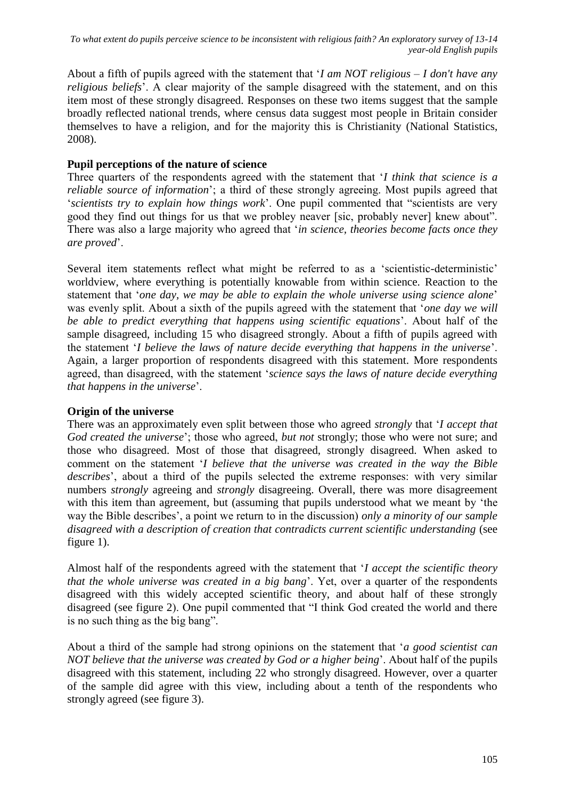About a fifth of pupils agreed with the statement that "*I am NOT religious – I don't have any religious beliefs*". A clear majority of the sample disagreed with the statement, and on this item most of these strongly disagreed. Responses on these two items suggest that the sample broadly reflected national trends, where census data suggest most people in Britain consider themselves to have a religion, and for the majority this is Christianity [\(National Statistics,](#page-15-18)  [2008\)](#page-15-18).

### **Pupil perceptions of the nature of science**

Three quarters of the respondents agreed with the statement that "*I think that science is a reliable source of information*"; a third of these strongly agreeing. Most pupils agreed that "*scientists try to explain how things work*". One pupil commented that "scientists are very good they find out things for us that we probley neaver [sic, probably never] knew about". There was also a large majority who agreed that "*in science, theories become facts once they are proved*".

Several item statements reflect what might be referred to as a "scientistic-deterministic" worldview, where everything is potentially knowable from within science. Reaction to the statement that "*one day, we may be able to explain the whole universe using science alone*" was evenly split. About a sixth of the pupils agreed with the statement that "*one day we will be able to predict everything that happens using scientific equations*". About half of the sample disagreed, including 15 who disagreed strongly. About a fifth of pupils agreed with the statement "*I believe the laws of nature decide everything that happens in the universe*". Again, a larger proportion of respondents disagreed with this statement. More respondents agreed, than disagreed, with the statement "*science says the laws of nature decide everything that happens in the universe*".

### **Origin of the universe**

There was an approximately even split between those who agreed *strongly* that "*I accept that God created the universe*"; those who agreed, *but not* strongly; those who were not sure; and those who disagreed. Most of those that disagreed, strongly disagreed. When asked to comment on the statement "*I believe that the universe was created in the way the Bible describes*", about a third of the pupils selected the extreme responses: with very similar numbers *strongly* agreeing and *strongly* disagreeing. Overall, there was more disagreement with this item than agreement, but (assuming that pupils understood what we meant by "the way the Bible describes", a point we return to in the discussion) *only a minority of our sample disagreed with a description of creation that contradicts current scientific understanding* (see figure 1).

Almost half of the respondents agreed with the statement that "*I accept the scientific theory that the whole universe was created in a big bang*". Yet, over a quarter of the respondents disagreed with this widely accepted scientific theory, and about half of these strongly disagreed (see figure 2). One pupil commented that "I think God created the world and there is no such thing as the big bang".

About a third of the sample had strong opinions on the statement that "*a good scientist can NOT believe that the universe was created by God or a higher being*". About half of the pupils disagreed with this statement, including 22 who strongly disagreed. However, over a quarter of the sample did agree with this view, including about a tenth of the respondents who strongly agreed (see figure 3).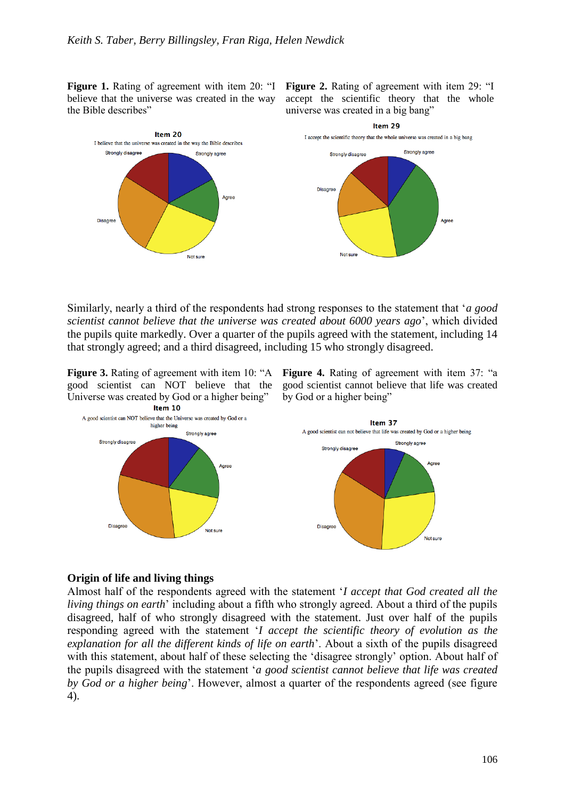**Figure 1.** Rating of agreement with item 20: "I believe that the universe was created in the way the Bible describes"

**Figure 2.** Rating of agreement with item 29: "I accept the scientific theory that the whole universe was created in a big bang"



Similarly, nearly a third of the respondents had strong responses to the statement that "*a good scientist cannot believe that the universe was created about 6000 years ago*", which divided the pupils quite markedly. Over a quarter of the pupils agreed with the statement, including 14 that strongly agreed; and a third disagreed, including 15 who strongly disagreed.

good scientist can NOT believe that the Universe was created by God or a higher being" Item 10

**Figure 3.** Rating of agreement with item 10: "A Figure 4. Rating of agreement with item 37: "a good scientist cannot believe that life was created by God or a higher being"



#### **Origin of life and living things**

Almost half of the respondents agreed with the statement "*I accept that God created all the living things on earth*" including about a fifth who strongly agreed. About a third of the pupils disagreed, half of who strongly disagreed with the statement. Just over half of the pupils responding agreed with the statement "*I accept the scientific theory of evolution as the explanation for all the different kinds of life on earth*". About a sixth of the pupils disagreed with this statement, about half of these selecting the 'disagree strongly' option. About half of the pupils disagreed with the statement "*a good scientist cannot believe that life was created by God or a higher being*". However, almost a quarter of the respondents agreed (see figure 4).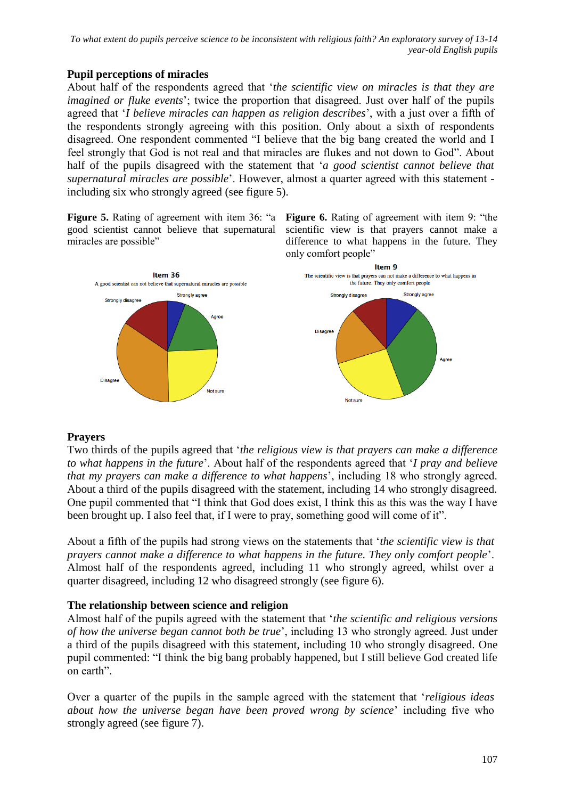# **Pupil perceptions of miracles**

About half of the respondents agreed that "*the scientific view on miracles is that they are imagined or fluke events*'; twice the proportion that disagreed. Just over half of the pupils agreed that "*I believe miracles can happen as religion describes*", with a just over a fifth of the respondents strongly agreeing with this position. Only about a sixth of respondents disagreed. One respondent commented "I believe that the big bang created the world and I feel strongly that God is not real and that miracles are flukes and not down to God". About half of the pupils disagreed with the statement that "*a good scientist cannot believe that supernatural miracles are possible*". However, almost a quarter agreed with this statement including six who strongly agreed (see figure 5).

**Figure 5.** Rating of agreement with item 36: "a good scientist cannot believe that supernatural miracles are possible"

**Figure 6.** Rating of agreement with item 9: "the scientific view is that prayers cannot make a difference to what happens in the future. They only comfort people"



### **Prayers**

Two thirds of the pupils agreed that "*the religious view is that prayers can make a difference to what happens in the future*". About half of the respondents agreed that "*I pray and believe that my prayers can make a difference to what happens*", including 18 who strongly agreed. About a third of the pupils disagreed with the statement, including 14 who strongly disagreed. One pupil commented that "I think that God does exist, I think this as this was the way I have been brought up. I also feel that, if I were to pray, something good will come of it".

About a fifth of the pupils had strong views on the statements that "*the scientific view is that prayers cannot make a difference to what happens in the future. They only comfort people*". Almost half of the respondents agreed, including 11 who strongly agreed, whilst over a quarter disagreed, including 12 who disagreed strongly (see figure 6).

### **The relationship between science and religion**

Almost half of the pupils agreed with the statement that "*the scientific and religious versions of how the universe began cannot both be true*", including 13 who strongly agreed. Just under a third of the pupils disagreed with this statement, including 10 who strongly disagreed. One pupil commented: "I think the big bang probably happened, but I still believe God created life on earth".

Over a quarter of the pupils in the sample agreed with the statement that "*religious ideas about how the universe began have been proved wrong by science*" including five who strongly agreed (see figure 7).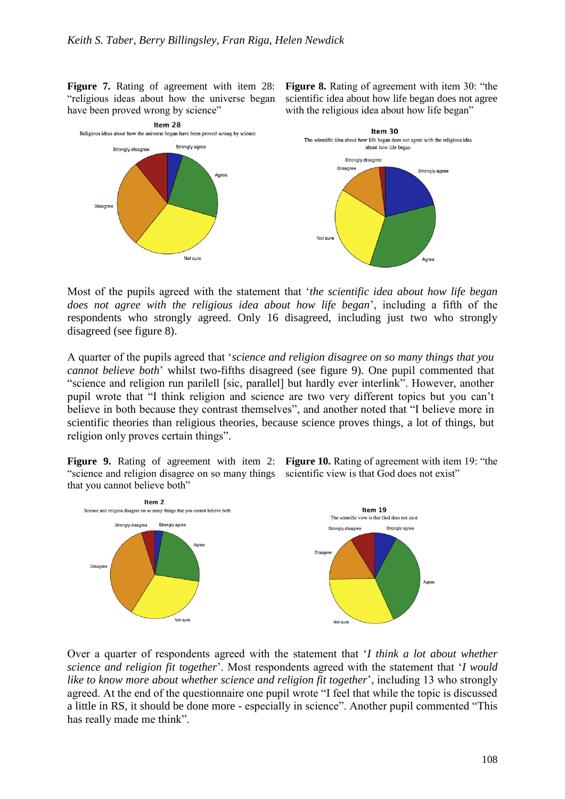**Figure 7.** Rating of agreement with item 28: "religious ideas about how the universe began have been proved wrong by science"

**Figure 8.** Rating of agreement with item 30: "the scientific idea about how life began does not agree with the religious idea about how life began"



Most of the pupils agreed with the statement that "*the scientific idea about how life began does not agree with the religious idea about how life began*", including a fifth of the respondents who strongly agreed. Only 16 disagreed, including just two who strongly disagreed (see figure 8).

A quarter of the pupils agreed that "*science and religion disagree on so many things that you cannot believe both*" whilst two-fifths disagreed (see figure 9). One pupil commented that "science and religion run parilell [sic, parallel] but hardly ever interlink". However, another pupil wrote that "I think religion and science are two very different topics but you can"t believe in both because they contrast themselves", and another noted that "I believe more in scientific theories than religious theories, because science proves things, a lot of things, but religion only proves certain things".

"science and religion disagree on so many things scientific view is that God does not exist" that you cannot believe both"

**Figure 9.** Rating of agreement with item 2: Figure 10. Rating of agreement with item 19: "the



Over a quarter of respondents agreed with the statement that "*I think a lot about whether science and religion fit together*". Most respondents agreed with the statement that "*I would like to know more about whether science and religion fit together*", including 13 who strongly agreed. At the end of the questionnaire one pupil wrote "I feel that while the topic is discussed a little in RS, it should be done more - especially in science". Another pupil commented "This has really made me think".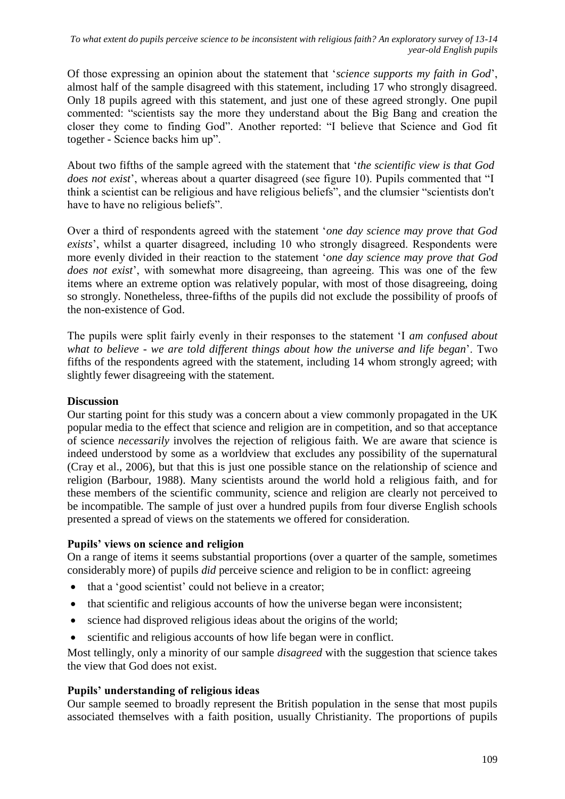Of those expressing an opinion about the statement that "*science supports my faith in God*", almost half of the sample disagreed with this statement, including 17 who strongly disagreed. Only 18 pupils agreed with this statement, and just one of these agreed strongly. One pupil commented: "scientists say the more they understand about the Big Bang and creation the closer they come to finding God". Another reported: "I believe that Science and God fit together - Science backs him up".

About two fifths of the sample agreed with the statement that "*the scientific view is that God does not exist*', whereas about a quarter disagreed (see figure 10). Pupils commented that "I think a scientist can be religious and have religious beliefs", and the clumsier "scientists don't have to have no religious beliefs".

Over a third of respondents agreed with the statement "*one day science may prove that God exists*", whilst a quarter disagreed, including 10 who strongly disagreed. Respondents were more evenly divided in their reaction to the statement "*one day science may prove that God does not exist*', with somewhat more disagreeing, than agreeing. This was one of the few items where an extreme option was relatively popular, with most of those disagreeing, doing so strongly. Nonetheless, three-fifths of the pupils did not exclude the possibility of proofs of the non-existence of God.

The pupils were split fairly evenly in their responses to the statement "I *am confused about what to believe - we are told different things about how the universe and life began*". Two fifths of the respondents agreed with the statement, including 14 whom strongly agreed; with slightly fewer disagreeing with the statement.

### **Discussion**

Our starting point for this study was a concern about a view commonly propagated in the UK popular media to the effect that science and religion are in competition, and so that acceptance of science *necessarily* involves the rejection of religious faith. We are aware that science is indeed understood by some as a worldview that excludes any possibility of the supernatural [\(Cray et al., 2006\)](#page-14-12), but that this is just one possible stance on the relationship of science and religion [\(Barbour, 1988\)](#page-13-4). Many scientists around the world hold a religious faith, and for these members of the scientific community, science and religion are clearly not perceived to be incompatible. The sample of just over a hundred pupils from four diverse English schools presented a spread of views on the statements we offered for consideration.

#### **Pupils' views on science and religion**

On a range of items it seems substantial proportions (over a quarter of the sample, sometimes considerably more) of pupils *did* perceive science and religion to be in conflict: agreeing

- that a 'good scientist' could not believe in a creator;
- that scientific and religious accounts of how the universe began were inconsistent;
- science had disproved religious ideas about the origins of the world;
- scientific and religious accounts of how life began were in conflict.

Most tellingly, only a minority of our sample *disagreed* with the suggestion that science takes the view that God does not exist.

### **Pupils' understanding of religious ideas**

Our sample seemed to broadly represent the British population in the sense that most pupils associated themselves with a faith position, usually Christianity. The proportions of pupils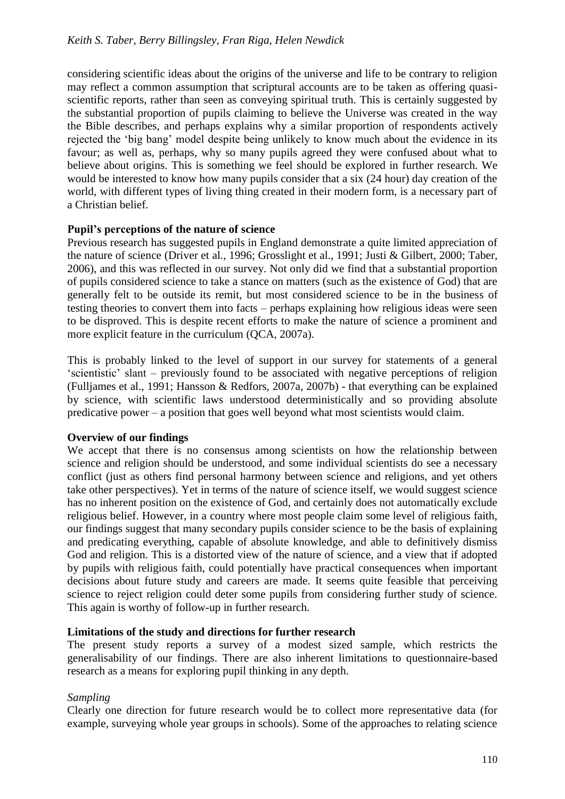considering scientific ideas about the origins of the universe and life to be contrary to religion may reflect a common assumption that scriptural accounts are to be taken as offering quasiscientific reports, rather than seen as conveying spiritual truth. This is certainly suggested by the substantial proportion of pupils claiming to believe the Universe was created in the way the Bible describes, and perhaps explains why a similar proportion of respondents actively rejected the "big bang" model despite being unlikely to know much about the evidence in its favour; as well as, perhaps, why so many pupils agreed they were confused about what to believe about origins. This is something we feel should be explored in further research. We would be interested to know how many pupils consider that a six (24 hour) day creation of the world, with different types of living thing created in their modern form, is a necessary part of a Christian belief.

### **Pupil's perceptions of the nature of science**

Previous research has suggested pupils in England demonstrate a quite limited appreciation of the nature of science [\(Driver et al., 1996;](#page-14-9) [Grosslight et al., 1991;](#page-14-10) [Justi & Gilbert, 2000;](#page-15-12) [Taber,](#page-16-3)  [2006\)](#page-16-3), and this was reflected in our survey. Not only did we find that a substantial proportion of pupils considered science to take a stance on matters (such as the existence of God) that are generally felt to be outside its remit, but most considered science to be in the business of testing theories to convert them into facts – perhaps explaining how religious ideas were seen to be disproved. This is despite recent efforts to make the nature of science a prominent and more explicit feature in the curriculum [\(QCA, 2007a\)](#page-15-10).

This is probably linked to the level of support in our survey for statements of a general 'scientistic' slant – previously found to be associated with negative perceptions of religion [\(Fulljames et al., 1991;](#page-14-5) [Hansson & Redfors, 2007a,](#page-14-6) [2007b\)](#page-15-7) - that everything can be explained by science, with scientific laws understood deterministically and so providing absolute predicative power – a position that goes well beyond what most scientists would claim.

#### **Overview of our findings**

We accept that there is no consensus among scientists on how the relationship between science and religion should be understood, and some individual scientists do see a necessary conflict (just as others find personal harmony between science and religions, and yet others take other perspectives). Yet in terms of the nature of science itself, we would suggest science has no inherent position on the existence of God, and certainly does not automatically exclude religious belief. However, in a country where most people claim some level of religious faith, our findings suggest that many secondary pupils consider science to be the basis of explaining and predicating everything, capable of absolute knowledge, and able to definitively dismiss God and religion. This is a distorted view of the nature of science, and a view that if adopted by pupils with religious faith, could potentially have practical consequences when important decisions about future study and careers are made. It seems quite feasible that perceiving science to reject religion could deter some pupils from considering further study of science. This again is worthy of follow-up in further research.

#### **Limitations of the study and directions for further research**

The present study reports a survey of a modest sized sample, which restricts the generalisability of our findings. There are also inherent limitations to questionnaire-based research as a means for exploring pupil thinking in any depth.

### *Sampling*

Clearly one direction for future research would be to collect more representative data (for example, surveying whole year groups in schools). Some of the approaches to relating science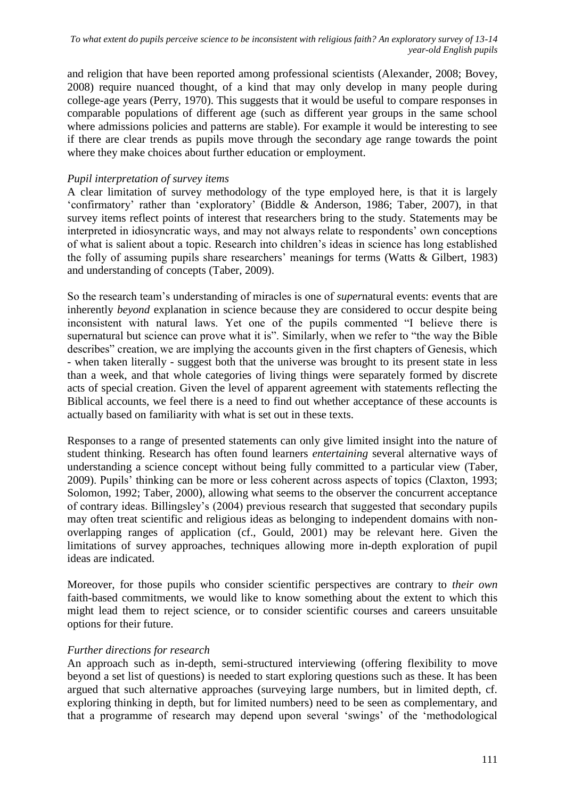and religion that have been reported among professional scientists [\(Alexander, 2008;](#page-13-3) [Bovey,](#page-14-14)  [2008\)](#page-14-14) require nuanced thought, of a kind that may only develop in many people during college-age years [\(Perry, 1970\)](#page-15-0). This suggests that it would be useful to compare responses in comparable populations of different age (such as different year groups in the same school where admissions policies and patterns are stable). For example it would be interesting to see if there are clear trends as pupils move through the secondary age range towards the point where they make choices about further education or employment.

# *Pupil interpretation of survey items*

A clear limitation of survey methodology of the type employed here, is that it is largely "confirmatory" rather than "exploratory" [\(Biddle & Anderson, 1986;](#page-14-15) [Taber, 2007\)](#page-16-6), in that survey items reflect points of interest that researchers bring to the study. Statements may be interpreted in idiosyncratic ways, and may not always relate to respondents' own conceptions of what is salient about a topic. Research into children"s ideas in science has long established the folly of assuming pupils share researchers' meanings for terms (Watts  $\&$  Gilbert, 1983) and understanding of concepts [\(Taber, 2009\)](#page-16-1).

So the research team"s understanding of miracles is one of *super*natural events: events that are inherently *beyond* explanation in science because they are considered to occur despite being inconsistent with natural laws. Yet one of the pupils commented "I believe there is supernatural but science can prove what it is". Similarly, when we refer to "the way the Bible describes" creation, we are implying the accounts given in the first chapters of Genesis, which - when taken literally - suggest both that the universe was brought to its present state in less than a week, and that whole categories of living things were separately formed by discrete acts of special creation. Given the level of apparent agreement with statements reflecting the Biblical accounts, we feel there is a need to find out whether acceptance of these accounts is actually based on familiarity with what is set out in these texts.

Responses to a range of presented statements can only give limited insight into the nature of student thinking. Research has often found learners *entertaining* several alternative ways of understanding a science concept without being fully committed to a particular view [\(Taber,](#page-16-1)  [2009\)](#page-16-1). Pupils" thinking can be more or less coherent across aspects of topics [\(Claxton, 1993;](#page-14-16) [Solomon, 1992;](#page-15-19) [Taber, 2000\)](#page-15-20), allowing what seems to the observer the concurrent acceptance of contrary ideas. Billingsley"s (2004) previous research that suggested that secondary pupils may often treat scientific and religious ideas as belonging to independent domains with nonoverlapping ranges of application [\(cf., Gould, 2001\)](#page-14-17) may be relevant here. Given the limitations of survey approaches, techniques allowing more in-depth exploration of pupil ideas are indicated.

Moreover, for those pupils who consider scientific perspectives are contrary to *their own* faith-based commitments, we would like to know something about the extent to which this might lead them to reject science, or to consider scientific courses and careers unsuitable options for their future.

### *Further directions for research*

An approach such as in-depth, semi-structured interviewing (offering flexibility to move beyond a set list of questions) is needed to start exploring questions such as these. It has been argued that such alternative approaches (surveying large numbers, but in limited depth, cf. exploring thinking in depth, but for limited numbers) need to be seen as complementary, and that a programme of research may depend upon several "swings" of the "methodological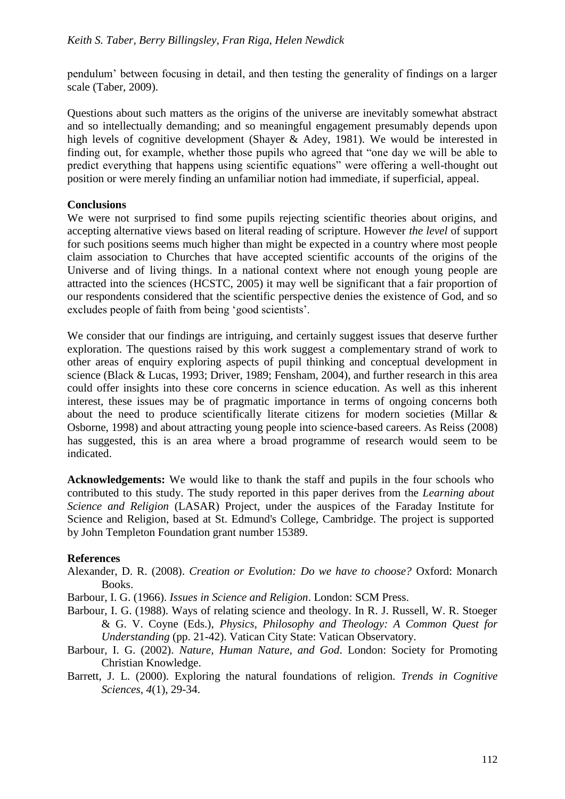pendulum" between focusing in detail, and then testing the generality of findings on a larger scale [\(Taber, 2009\)](#page-16-1).

Questions about such matters as the origins of the universe are inevitably somewhat abstract and so intellectually demanding; and so meaningful engagement presumably depends upon high levels of cognitive development [\(Shayer & Adey, 1981\)](#page-15-1). We would be interested in finding out, for example, whether those pupils who agreed that "one day we will be able to predict everything that happens using scientific equations" were offering a well-thought out position or were merely finding an unfamiliar notion had immediate, if superficial, appeal.

### **Conclusions**

We were not surprised to find some pupils rejecting scientific theories about origins, and accepting alternative views based on literal reading of scripture. However *the level* of support for such positions seems much higher than might be expected in a country where most people claim association to Churches that have accepted scientific accounts of the origins of the Universe and of living things. In a national context where not enough young people are attracted into the sciences [\(HCSTC, 2005\)](#page-15-21) it may well be significant that a fair proportion of our respondents considered that the scientific perspective denies the existence of God, and so excludes people of faith from being "good scientists".

We consider that our findings are intriguing, and certainly suggest issues that deserve further exploration. The questions raised by this work suggest a complementary strand of work to other areas of enquiry exploring aspects of pupil thinking and conceptual development in science [\(Black & Lucas, 1993;](#page-14-18) [Driver, 1989;](#page-14-19) [Fensham, 2004\)](#page-14-20), and further research in this area could offer insights into these core concerns in science education. As well as this inherent interest, these issues may be of pragmatic importance in terms of ongoing concerns both about the need to produce scientifically literate citizens for modern societies [\(Millar &](#page-15-22)  [Osborne, 1998\)](#page-15-22) and about attracting young people into science-based careers. As Reiss [\(2008\)](#page-15-3) has suggested, this is an area where a broad programme of research would seem to be indicated.

**Acknowledgements:** We would like to thank the staff and pupils in the four schools who contributed to this study. The study reported in this paper derives from the *Learning about Science and Religion* (LASAR) Project, under the auspices of the Faraday Institute for Science and Religion, based at St. Edmund's College, Cambridge. The project is supported by John Templeton Foundation grant number 15389.

### **References**

- <span id="page-13-3"></span>Alexander, D. R. (2008). *Creation or Evolution: Do we have to choose?* Oxford: Monarch Books.
- <span id="page-13-0"></span>Barbour, I. G. (1966). *Issues in Science and Religion*. London: SCM Press.
- <span id="page-13-4"></span>Barbour, I. G. (1988). Ways of relating science and theology. In R. J. Russell, W. R. Stoeger & G. V. Coyne (Eds.), *Physics, Philosophy and Theology: A Common Quest for Understanding* (pp. 21-42). Vatican City State: Vatican Observatory.
- <span id="page-13-1"></span>Barbour, I. G. (2002). *Nature, Human Nature, and God*. London: Society for Promoting Christian Knowledge.
- <span id="page-13-2"></span>Barrett, J. L. (2000). Exploring the natural foundations of religion. *Trends in Cognitive Sciences, 4*(1), 29-34.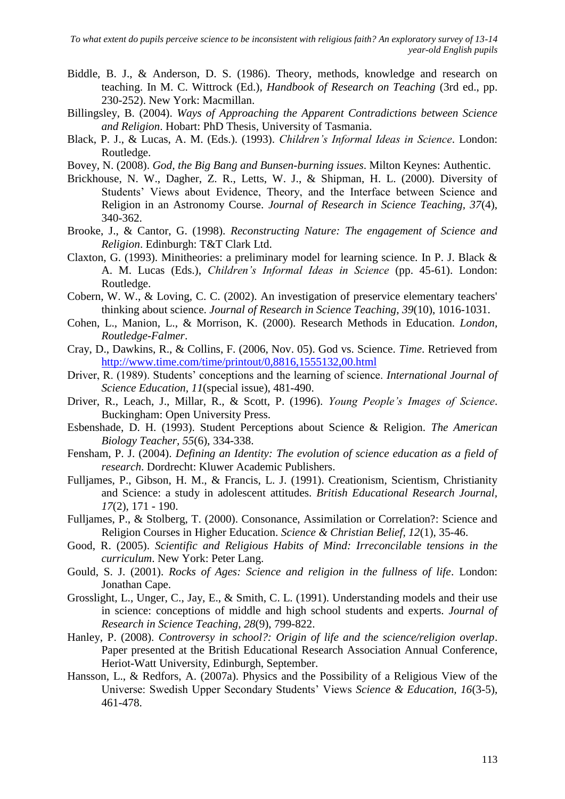- <span id="page-14-15"></span>Biddle, B. J., & Anderson, D. S. (1986). Theory, methods, knowledge and research on teaching. In M. C. Wittrock (Ed.), *Handbook of Research on Teaching* (3rd ed., pp. 230-252). New York: Macmillan.
- <span id="page-14-2"></span>Billingsley, B. (2004). *Ways of Approaching the Apparent Contradictions between Science and Religion*. Hobart: PhD Thesis, University of Tasmania.
- <span id="page-14-18"></span>Black, P. J., & Lucas, A. M. (Eds.). (1993). *Children's Informal Ideas in Science*. London: Routledge.
- <span id="page-14-14"></span>Bovey, N. (2008). *God, the Big Bang and Bunsen-burning issues*. Milton Keynes: Authentic.
- <span id="page-14-3"></span>Brickhouse, N. W., Dagher, Z. R., Letts, W. J., & Shipman, H. L. (2000). Diversity of Students' Views about Evidence, Theory, and the Interface between Science and Religion in an Astronomy Course. *Journal of Research in Science Teaching, 37*(4), 340-362.
- <span id="page-14-1"></span>Brooke, J., & Cantor, G. (1998). *Reconstructing Nature: The engagement of Science and Religion*. Edinburgh: T&T Clark Ltd.
- <span id="page-14-16"></span>Claxton, G. (1993). Minitheories: a preliminary model for learning science. In P. J. Black & A. M. Lucas (Eds.), *Children's Informal Ideas in Science* (pp. 45-61). London: Routledge.
- <span id="page-14-4"></span>Cobern, W. W., & Loving, C. C. (2002). An investigation of preservice elementary teachers' thinking about science. *Journal of Research in Science Teaching, 39*(10), 1016-1031.
- <span id="page-14-13"></span>Cohen, L., Manion, L., & Morrison, K. (2000). Research Methods in Education. *London, Routledge-Falmer*.
- <span id="page-14-12"></span>Cray, D., Dawkins, R., & Collins, F. (2006, Nov. 05). God vs. Science*. Time*. Retrieved from <http://www.time.com/time/printout/0,8816,1555132,00.html>
- <span id="page-14-19"></span>Driver, R. (1989). Students" conceptions and the learning of science. *International Journal of Science Education, 11*(special issue), 481-490.
- <span id="page-14-9"></span>Driver, R., Leach, J., Millar, R., & Scott, P. (1996). *Young People's Images of Science*. Buckingham: Open University Press.
- <span id="page-14-8"></span>Esbenshade, D. H. (1993). Student Perceptions about Science & Religion. *The American Biology Teacher, 55*(6), 334-338.
- <span id="page-14-20"></span>Fensham, P. J. (2004). *Defining an Identity: The evolution of science education as a field of research*. Dordrecht: Kluwer Academic Publishers.
- <span id="page-14-5"></span>Fulljames, P., Gibson, H. M., & Francis, L. J. (1991). Creationism, Scientism, Christianity and Science: a study in adolescent attitudes. *British Educational Research Journal, 17*(2), 171 - 190.
- <span id="page-14-0"></span>Fulljames, P., & Stolberg, T. (2000). Consonance, Assimilation or Correlation?: Science and Religion Courses in Higher Education. *Science & Christian Belief, 12*(1), 35-46.
- <span id="page-14-7"></span>Good, R. (2005). *Scientific and Religious Habits of Mind: Irreconcilable tensions in the curriculum*. New York: Peter Lang.
- <span id="page-14-17"></span>Gould, S. J. (2001). *Rocks of Ages: Science and religion in the fullness of life*. London: Jonathan Cape.
- <span id="page-14-10"></span>Grosslight, L., Unger, C., Jay, E., & Smith, C. L. (1991). Understanding models and their use in science: conceptions of middle and high school students and experts. *Journal of Research in Science Teaching, 28*(9), 799-822.
- <span id="page-14-11"></span>Hanley, P. (2008). *Controversy in school?: Origin of life and the science/religion overlap*. Paper presented at the British Educational Research Association Annual Conference, Heriot-Watt University, Edinburgh, September.
- <span id="page-14-6"></span>Hansson, L., & Redfors, A. (2007a). Physics and the Possibility of a Religious View of the Universe: Swedish Upper Secondary Students" Views *Science & Education, 16*(3-5), 461-478.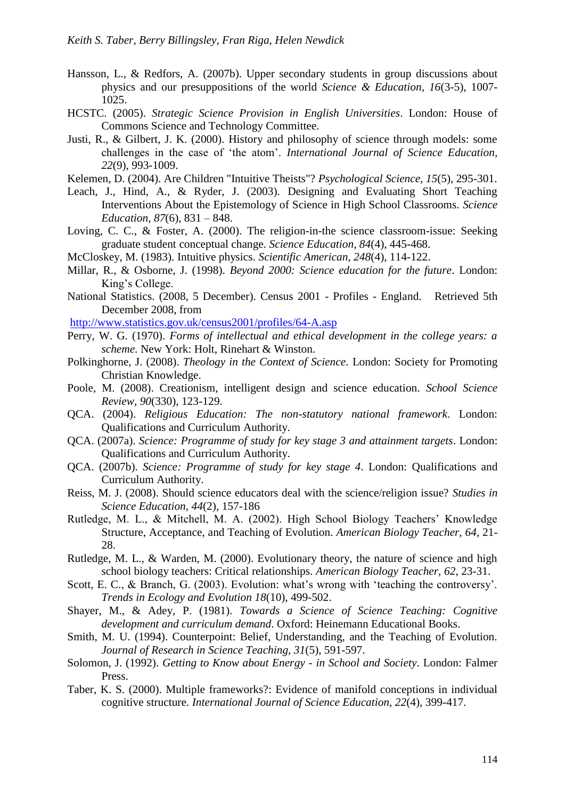- <span id="page-15-7"></span>Hansson, L., & Redfors, A. (2007b). Upper secondary students in group discussions about physics and our presuppositions of the world *Science & Education, 16*(3-5), 1007- 1025.
- <span id="page-15-21"></span>HCSTC. (2005). *Strategic Science Provision in English Universities*. London: House of Commons Science and Technology Committee.
- <span id="page-15-12"></span>Justi, R., & Gilbert, J. K. (2000). History and philosophy of science through models: some challenges in the case of "the atom". *International Journal of Science Education, 22*(9), 993-1009.
- <span id="page-15-16"></span>Kelemen, D. (2004). Are Children "Intuitive Theists"? *Psychological Science, 15*(5), 295-301.
- <span id="page-15-2"></span>Leach, J., Hind, A., & Ryder, J. (2003). Designing and Evaluating Short Teaching Interventions About the Epistemology of Science in High School Classrooms. *Science Education, 87*(6), 831 – 848.
- <span id="page-15-4"></span>Loving, C. C., & Foster, A. (2000). The religion-in-the science classroom-issue: Seeking graduate student conceptual change. *Science Education, 84*(4), 445-468.
- <span id="page-15-15"></span>McCloskey, M. (1983). Intuitive physics. *Scientific American, 248*(4), 114-122.
- <span id="page-15-22"></span>Millar, R., & Osborne, J. (1998). *Beyond 2000: Science education for the future*. London: King"s College.
- <span id="page-15-18"></span>National Statistics. (2008, 5 December). Census 2001 - Profiles - England. Retrieved 5th December 2008, from

<http://www.statistics.gov.uk/census2001/profiles/64-A.asp>

- <span id="page-15-0"></span>Perry, W. G. (1970). *Forms of intellectual and ethical development in the college years: a scheme*. New York: Holt, Rinehart & Winston.
- <span id="page-15-17"></span>Polkinghorne, J. (2008). *Theology in the Context of Science*. London: Society for Promoting Christian Knowledge.
- <span id="page-15-14"></span>Poole, M. (2008). Creationism, intelligent design and science education. *School Science Review, 90*(330), 123-129.
- <span id="page-15-9"></span>QCA. (2004). *Religious Education: The non-statutory national framework*. London: Qualifications and Curriculum Authority.
- <span id="page-15-10"></span>QCA. (2007a). *Science: Programme of study for key stage 3 and attainment targets*. London: Qualifications and Curriculum Authority.
- <span id="page-15-11"></span>QCA. (2007b). *Science: Programme of study for key stage 4*. London: Qualifications and Curriculum Authority.
- <span id="page-15-3"></span>Reiss, M. J. (2008). Should science educators deal with the science/religion issue? *Studies in Science Education, 44*(2), 157-186
- <span id="page-15-5"></span>Rutledge, M. L., & Mitchell, M. A. (2002). High School Biology Teachers" Knowledge Structure, Acceptance, and Teaching of Evolution. *American Biology Teacher, 64*, 21- 28.
- <span id="page-15-6"></span>Rutledge, M. L., & Warden, M. (2000). Evolutionary theory, the nature of science and high school biology teachers: Critical relationships. *American Biology Teacher, 62*, 23-31.
- <span id="page-15-13"></span>Scott, E. C., & Branch, G. (2003). Evolution: what's wrong with 'teaching the controversy'. *Trends in Ecology and Evolution 18*(10), 499-502.
- <span id="page-15-1"></span>Shayer, M., & Adey, P. (1981). *Towards a Science of Science Teaching: Cognitive development and curriculum demand*. Oxford: Heinemann Educational Books.
- <span id="page-15-8"></span>Smith, M. U. (1994). Counterpoint: Belief, Understanding, and the Teaching of Evolution. *Journal of Research in Science Teaching, 31*(5), 591-597.
- <span id="page-15-19"></span>Solomon, J. (1992). *Getting to Know about Energy - in School and Society*. London: Falmer Press.
- <span id="page-15-20"></span>Taber, K. S. (2000). Multiple frameworks?: Evidence of manifold conceptions in individual cognitive structure. *International Journal of Science Education, 22*(4), 399-417.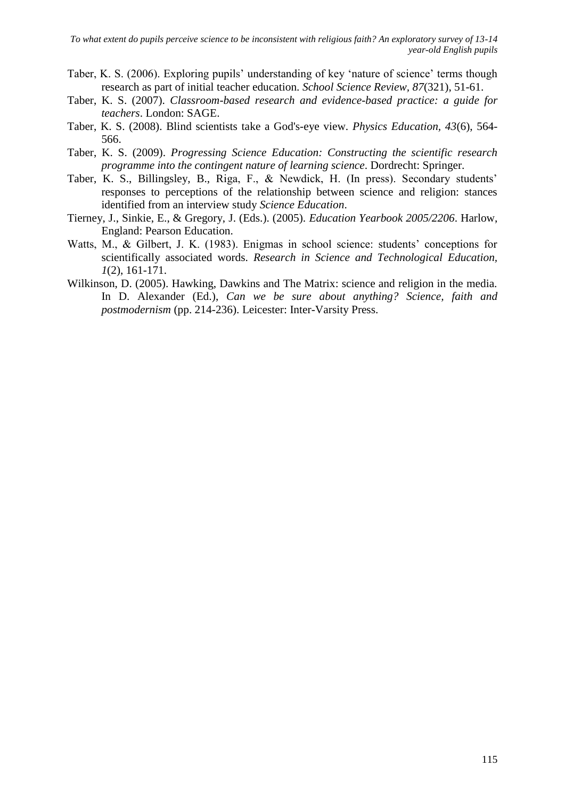- <span id="page-16-3"></span>Taber, K. S. (2006). Exploring pupils' understanding of key 'nature of science' terms though research as part of initial teacher education. *School Science Review, 87*(321), 51-61.
- <span id="page-16-6"></span>Taber, K. S. (2007). *Classroom-based research and evidence-based practice: a guide for teachers*. London: SAGE.
- <span id="page-16-0"></span>Taber, K. S. (2008). Blind scientists take a God's-eye view. *Physics Education, 43*(6), 564- 566.
- <span id="page-16-5"></span><span id="page-16-1"></span>Taber, K. S. (2009). *Progressing Science Education: Constructing the scientific research programme into the contingent nature of learning science*. Dordrecht: Springer.
- Taber, K. S., Billingsley, B., Riga, F., & Newdick, H. (In press). Secondary students" responses to perceptions of the relationship between science and religion: stances identified from an interview study *Science Education*.
- <span id="page-16-4"></span>Tierney, J., Sinkie, E., & Gregory, J. (Eds.). (2005). *Education Yearbook 2005/2206*. Harlow, England: Pearson Education.
- <span id="page-16-7"></span>Watts, M., & Gilbert, J. K. (1983). Enigmas in school science: students' conceptions for scientifically associated words. *Research in Science and Technological Education, 1*(2), 161-171.
- <span id="page-16-2"></span>Wilkinson, D. (2005). Hawking, Dawkins and The Matrix: science and religion in the media. In D. Alexander (Ed.), *Can we be sure about anything? Science, faith and postmodernism* (pp. 214-236). Leicester: Inter-Varsity Press.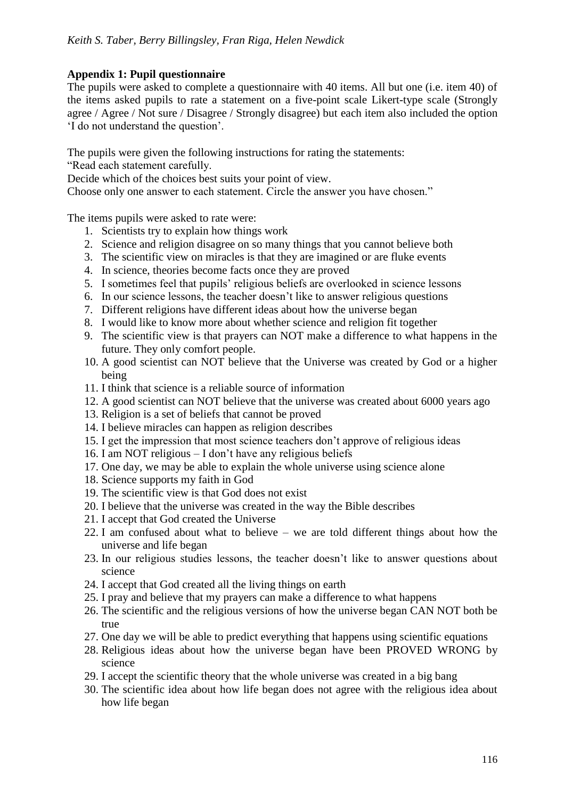# **Appendix 1: Pupil questionnaire**

The pupils were asked to complete a questionnaire with 40 items. All but one (i.e. item 40) of the items asked pupils to rate a statement on a five-point scale Likert-type scale (Strongly agree / Agree / Not sure / Disagree / Strongly disagree) but each item also included the option "I do not understand the question".

The pupils were given the following instructions for rating the statements:

"Read each statement carefully.

Decide which of the choices best suits your point of view.

Choose only one answer to each statement. Circle the answer you have chosen."

The items pupils were asked to rate were:

- 1. Scientists try to explain how things work
- 2. Science and religion disagree on so many things that you cannot believe both
- 3. The scientific view on miracles is that they are imagined or are fluke events
- 4. In science, theories become facts once they are proved
- 5. I sometimes feel that pupils" religious beliefs are overlooked in science lessons
- 6. In our science lessons, the teacher doesn"t like to answer religious questions
- 7. Different religions have different ideas about how the universe began
- 8. I would like to know more about whether science and religion fit together
- 9. The scientific view is that prayers can NOT make a difference to what happens in the future. They only comfort people.
- 10. A good scientist can NOT believe that the Universe was created by God or a higher being
- 11. I think that science is a reliable source of information
- 12. A good scientist can NOT believe that the universe was created about 6000 years ago
- 13. Religion is a set of beliefs that cannot be proved
- 14. I believe miracles can happen as religion describes
- 15. I get the impression that most science teachers don"t approve of religious ideas
- 16. I am NOT religious I don"t have any religious beliefs
- 17. One day, we may be able to explain the whole universe using science alone
- 18. Science supports my faith in God
- 19. The scientific view is that God does not exist
- 20. I believe that the universe was created in the way the Bible describes
- 21. I accept that God created the Universe
- 22. I am confused about what to believe we are told different things about how the universe and life began
- 23. In our religious studies lessons, the teacher doesn"t like to answer questions about science
- 24. I accept that God created all the living things on earth
- 25. I pray and believe that my prayers can make a difference to what happens
- 26. The scientific and the religious versions of how the universe began CAN NOT both be true
- 27. One day we will be able to predict everything that happens using scientific equations
- 28. Religious ideas about how the universe began have been PROVED WRONG by science
- 29. I accept the scientific theory that the whole universe was created in a big bang
- 30. The scientific idea about how life began does not agree with the religious idea about how life began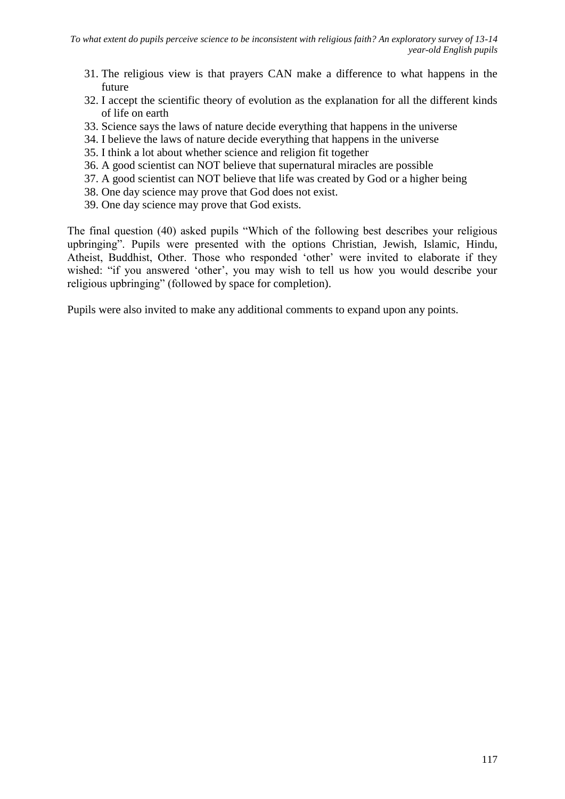- 31. The religious view is that prayers CAN make a difference to what happens in the future
- 32. I accept the scientific theory of evolution as the explanation for all the different kinds of life on earth
- 33. Science says the laws of nature decide everything that happens in the universe
- 34. I believe the laws of nature decide everything that happens in the universe
- 35. I think a lot about whether science and religion fit together
- 36. A good scientist can NOT believe that supernatural miracles are possible
- 37. A good scientist can NOT believe that life was created by God or a higher being
- 38. One day science may prove that God does not exist.
- 39. One day science may prove that God exists.

The final question (40) asked pupils "Which of the following best describes your religious upbringing". Pupils were presented with the options Christian, Jewish, Islamic, Hindu, Atheist, Buddhist, Other. Those who responded "other" were invited to elaborate if they wished: "if you answered 'other', you may wish to tell us how you would describe your religious upbringing" (followed by space for completion).

Pupils were also invited to make any additional comments to expand upon any points.